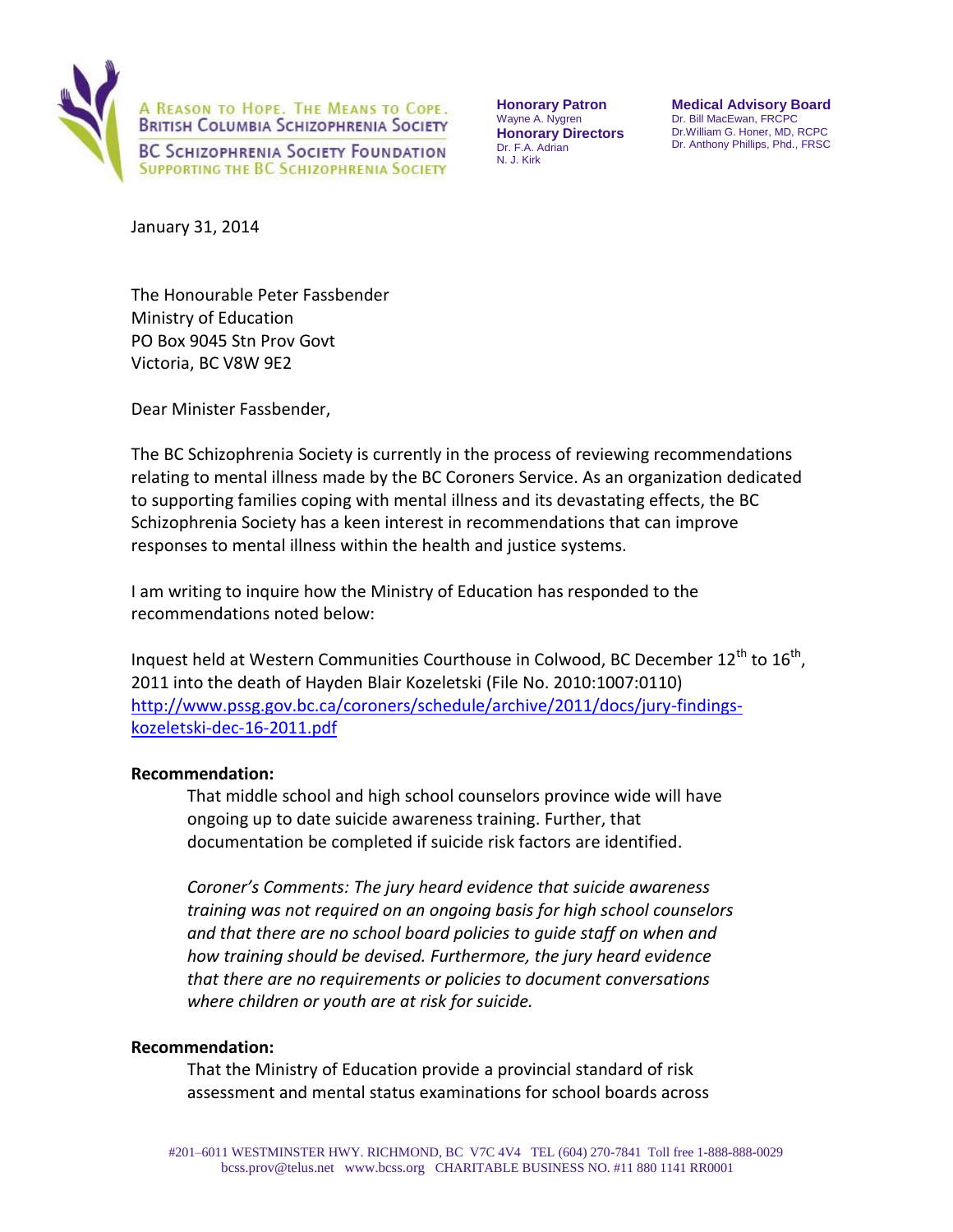

**Honorary Patron**  Wayne A. Nygren **Honorary Directors**  Dr. F.A. Adrian N. J. Kirk

**Medical Advisory Board**  Dr. Bill MacEwan, FRCPC Dr.William G. Honer, MD, RCPC Dr. Anthony Phillips, Phd., FRSC

January 31, 2014

The Honourable Peter Fassbender Ministry of Education PO Box 9045 Stn Prov Govt Victoria, BC V8W 9E2

Dear Minister Fassbender,

The BC Schizophrenia Society is currently in the process of reviewing recommendations relating to mental illness made by the BC Coroners Service. As an organization dedicated to supporting families coping with mental illness and its devastating effects, the BC Schizophrenia Society has a keen interest in recommendations that can improve responses to mental illness within the health and justice systems.

I am writing to inquire how the Ministry of Education has responded to the recommendations noted below:

Inquest held at Western Communities Courthouse in Colwood, BC December  $12^{th}$  to  $16^{th}$ , 2011 into the death of Hayden Blair Kozeletski (File No. 2010:1007:0110) [http://www.pssg.gov.bc.ca/coroners/schedule/archive/2011/docs/jury-findings](http://www.pssg.gov.bc.ca/coroners/schedule/archive/2011/docs/jury-findings-kozeletski-dec-16-2011.pdf)[kozeletski-dec-16-2011.pdf](http://www.pssg.gov.bc.ca/coroners/schedule/archive/2011/docs/jury-findings-kozeletski-dec-16-2011.pdf)

## **Recommendation:**

That middle school and high school counselors province wide will have ongoing up to date suicide awareness training. Further, that documentation be completed if suicide risk factors are identified.

*Coroner's Comments: The jury heard evidence that suicide awareness training was not required on an ongoing basis for high school counselors and that there are no school board policies to guide staff on when and how training should be devised. Furthermore, the jury heard evidence that there are no requirements or policies to document conversations where children or youth are at risk for suicide.* 

## **Recommendation:**

That the Ministry of Education provide a provincial standard of risk assessment and mental status examinations for school boards across